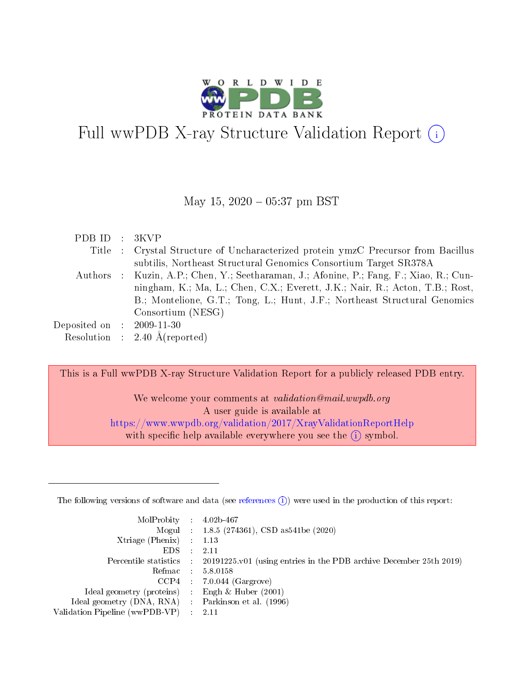

# Full wwPDB X-ray Structure Validation Report (i)

#### May 15,  $2020 - 05:37$  pm BST

| PDBID : 3KVP                |                                                                                         |
|-----------------------------|-----------------------------------------------------------------------------------------|
|                             | Title : Crystal Structure of Uncharacterized protein ymzC Precursor from Bacillus       |
|                             | subtilis, Northeast Structural Genomics Consortium Target SR378A                        |
|                             | Authors : Kuzin, A.P.; Chen, Y.; Seetharaman, J.; Afonine, P.; Fang, F.; Xiao, R.; Cun- |
|                             | ningham, K.; Ma, L.; Chen, C.X.; Everett, J.K.; Nair, R.; Acton, T.B.; Rost,            |
|                             | B.; Montelione, G.T.; Tong, L.; Hunt, J.F.; Northeast Structural Genomics               |
|                             | Consortium (NESG)                                                                       |
| Deposited on : $2009-11-30$ |                                                                                         |
|                             | Resolution : $2.40 \text{ Å}$ (reported)                                                |

This is a Full wwPDB X-ray Structure Validation Report for a publicly released PDB entry.

We welcome your comments at validation@mail.wwpdb.org A user guide is available at <https://www.wwpdb.org/validation/2017/XrayValidationReportHelp> with specific help available everywhere you see the  $(i)$  symbol.

The following versions of software and data (see [references](https://www.wwpdb.org/validation/2017/XrayValidationReportHelp#references)  $(1)$ ) were used in the production of this report:

| $MolProbability$ : 4.02b-467                      |                             |                                                                                            |
|---------------------------------------------------|-----------------------------|--------------------------------------------------------------------------------------------|
|                                                   |                             | Mogul : 1.8.5 (274361), CSD as 541be (2020)                                                |
| Xtriage (Phenix) $: 1.13$                         |                             |                                                                                            |
| EDS –                                             | $\mathcal{L}$ .             | -2.11                                                                                      |
|                                                   |                             | Percentile statistics : 20191225.v01 (using entries in the PDB archive December 25th 2019) |
| Refmac 5.8.0158                                   |                             |                                                                                            |
|                                                   |                             | $CCP4$ : 7.0.044 (Gargrove)                                                                |
| Ideal geometry (proteins)                         | $\mathcal{L}_{\mathcal{A}}$ | Engh & Huber $(2001)$                                                                      |
| Ideal geometry (DNA, RNA) Parkinson et al. (1996) |                             |                                                                                            |
| Validation Pipeline (wwPDB-VP) : 2.11             |                             |                                                                                            |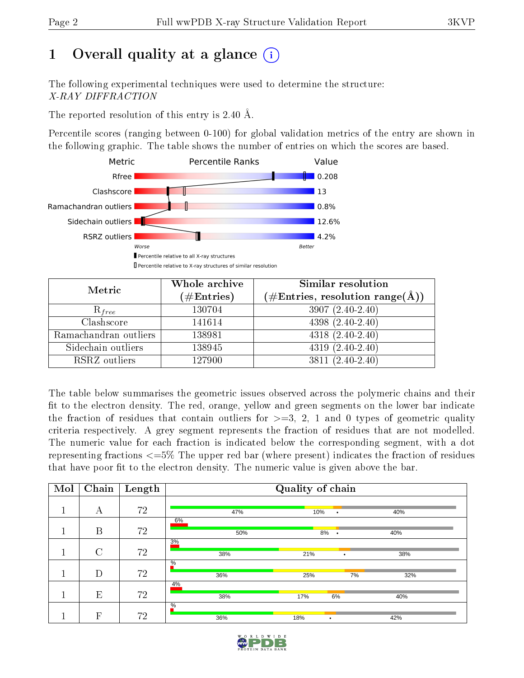# 1 [O](https://www.wwpdb.org/validation/2017/XrayValidationReportHelp#overall_quality)verall quality at a glance  $(i)$

The following experimental techniques were used to determine the structure: X-RAY DIFFRACTION

The reported resolution of this entry is 2.40 Å.

Percentile scores (ranging between 0-100) for global validation metrics of the entry are shown in the following graphic. The table shows the number of entries on which the scores are based.



| Metric                | Whole archive        | <b>Similar resolution</b>                                                |  |  |
|-----------------------|----------------------|--------------------------------------------------------------------------|--|--|
|                       | $(\#\text{Entries})$ | $(\#\text{Entries},\,\text{resolution}\,\,\text{range}(\textup{\AA})\,)$ |  |  |
| $R_{free}$            | 130704               | $3907(2.40-2.40)$                                                        |  |  |
| Clashscore            | 141614               | $4398(2.40-2.40)$                                                        |  |  |
| Ramachandran outliers | 138981               | $4318(2.40-2.40)$                                                        |  |  |
| Sidechain outliers    | 138945               | $4319(2.40-2.40)$                                                        |  |  |
| RSRZ outliers         | 127900               | $3811 (2.40 - 2.40)$                                                     |  |  |

The table below summarises the geometric issues observed across the polymeric chains and their fit to the electron density. The red, orange, yellow and green segments on the lower bar indicate the fraction of residues that contain outliers for  $>=$  3, 2, 1 and 0 types of geometric quality criteria respectively. A grey segment represents the fraction of residues that are not modelled. The numeric value for each fraction is indicated below the corresponding segment, with a dot representing fractions  $\epsilon=5\%$  The upper red bar (where present) indicates the fraction of residues that have poor fit to the electron density. The numeric value is given above the bar.

| Mol | Chain   | Length | Quality of chain |                  |     |  |  |
|-----|---------|--------|------------------|------------------|-----|--|--|
|     | А       | 72     | 47%              | 10%<br>$\bullet$ | 40% |  |  |
|     | B       | 72     | 6%<br>50%        | 8%<br>$\bullet$  | 40% |  |  |
|     | $\rm C$ | 72     | 3%<br>38%        | 21%<br>٠         | 38% |  |  |
|     | D       | 72     | $\%$<br>36%      | 25%<br>7%        | 32% |  |  |
|     | E       | 72     | 4%<br>38%        | 17%<br>6%        | 40% |  |  |
|     | F       | 72     | $\%$<br>36%      | 18%<br>٠         | 42% |  |  |

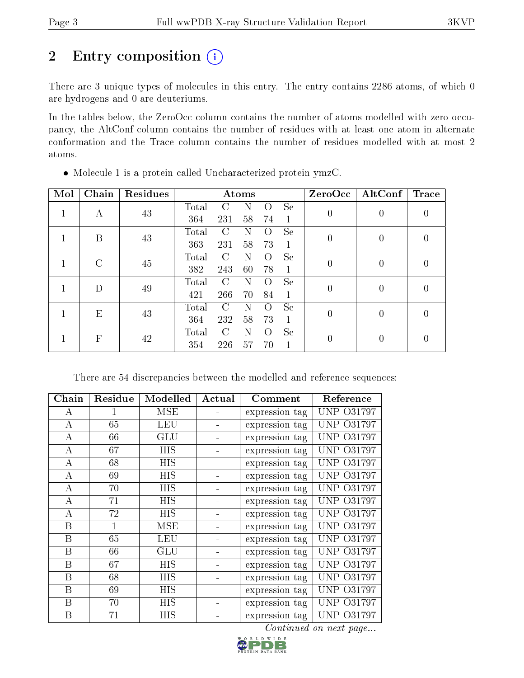# 2 Entry composition (i)

There are 3 unique types of molecules in this entry. The entry contains 2286 atoms, of which 0 are hydrogens and 0 are deuteriums.

In the tables below, the ZeroOcc column contains the number of atoms modelled with zero occupancy, the AltConf column contains the number of residues with at least one atom in alternate conformation and the Trace column contains the number of residues modelled with at most 2 atoms.

| Mol | Chain  | Residues |       |               | Atoms |                    |               |                  | ZeroOcc   AltConf | Trace            |
|-----|--------|----------|-------|---------------|-------|--------------------|---------------|------------------|-------------------|------------------|
|     | А      | 43       | Total | C             | N     | $\left( \ \right)$ | <b>Se</b>     | $\left( \right)$ | $\theta$          | $\left( \right)$ |
|     |        |          | 364   | 231           | 58    | 74                 | 1             |                  |                   |                  |
|     | B      | 43       | Total | $\mathcal{C}$ | Ν     | $\left( \right)$   | Se            | 0                | $\theta$          |                  |
|     |        |          | 363   | 231           | 58    | 73                 | $\mathbf{1}$  |                  |                   |                  |
|     | $\cap$ | 45       | Total | $\mathcal{C}$ | N     | $\left( \right)$   | <b>Se</b>     | 0                | $\left($          | 0                |
|     |        |          | 382   | 243           | 60    | 78                 | 1             |                  |                   |                  |
|     | D      | 49       | Total | $\mathcal{C}$ | N     | $\left( \right)$   | <sub>Se</sub> | $\Omega$         | $\left($          | 0                |
|     |        |          | 421   | 266           | 70    | 84                 | 1             |                  |                   |                  |
|     | E      | 43       | Total | C             | Ν     | $\left( \right)$   | Se            | 0                | $\theta$          |                  |
|     |        |          | 364   | 232           | 58    | 73                 | 1             |                  |                   |                  |
|     | F      |          | Total | $\mathcal{C}$ | N     | $\left( \right)$   | <b>Se</b>     |                  |                   |                  |
|     |        | 42       | 354   | 226           | 57    | 70                 |               | $\left( \right)$ | $\theta$          |                  |

Molecule 1 is a protein called Uncharacterized protein ymzC.

There are 54 discrepancies between the modelled and reference sequences:

| Chain            | Residue | Modelled             | Actual | $\bf {Comment}$ | Reference              |
|------------------|---------|----------------------|--------|-----------------|------------------------|
| А                | 1       | MSE                  |        | expression tag  | UNP 031797             |
| A                | 65      | LEU                  |        | expression tag  | <b>UNP 031797</b>      |
| A                | 66      | GLU                  |        | expression tag  | <b>UNP 031797</b>      |
| A                | 67      | HIS                  |        | expression tag  | <b>UNP 031797</b>      |
| А                | 68      | HIS                  |        | expression tag  | <b>UNP 031797</b>      |
| A                | 69      | HIS                  |        | expression tag  | <b>UNP 031797</b>      |
| A                | 70      | HIS                  |        | expression tag  | <b>UNP 031797</b>      |
| A                | 71      | HIS                  |        | expression tag  | <b>UNP 031797</b>      |
| А                | 72      | HIS                  |        | expression tag  | UNP 031797             |
| B                | 1       | MSE                  |        | expression tag  | <b>UNP 031797</b>      |
| B                | 65      | LEU                  |        | expression tag  | <b>UNP 031797</b>      |
| Β                | 66      | $\operatorname{GLU}$ |        | expression tag  | <b>UNP 031797</b>      |
| B                | 67      | <b>HIS</b>           |        | expression tag  | <b>UNP 031797</b>      |
| B                | 68      | HIS                  |        | expression tag  | <b>UNP 031797</b>      |
| Β                | 69      | HIS                  |        | expression tag  | <b>UNP 031797</b>      |
| B                | 70      | HIS                  |        | expression tag  | UNP.<br>O31797         |
| $\boldsymbol{B}$ | 71      | HIS                  |        | expression tag  | <b>UNP 031797</b>      |
|                  |         |                      |        |                 | Continued on next page |

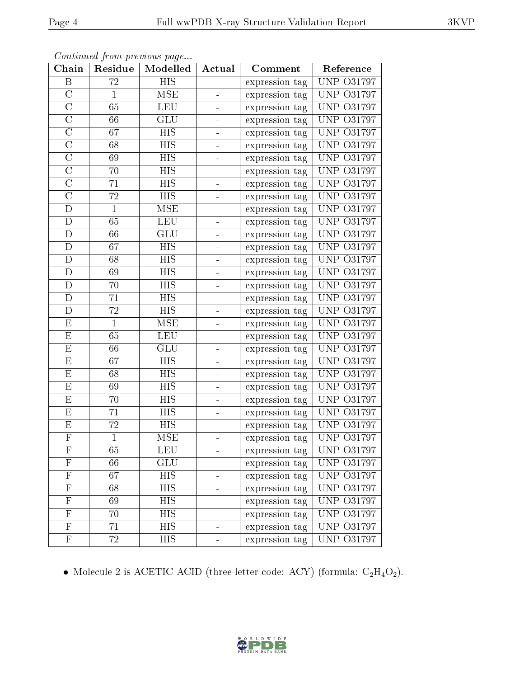| Chain                     | Residue         | Modelled   | Actual         | Comment        | Reference         |
|---------------------------|-----------------|------------|----------------|----------------|-------------------|
| B                         | $7\overline{2}$ | <b>HIS</b> |                | expression tag | <b>UNP 031797</b> |
| $\overline{C}$            | $\mathbf{1}$    | <b>MSE</b> |                | expression tag | <b>UNP 031797</b> |
| $\overline{\rm C}$        | 65              | <b>LEU</b> |                | expression tag | <b>UNP 031797</b> |
| $\overline{C}$            | 66              | GLU        |                | expression tag | <b>UNP 031797</b> |
| $\overline{\rm C}$        | 67              | <b>HIS</b> |                | expression tag | UNP 031797        |
| $\overline{C}$            | 68              | <b>HIS</b> | $\blacksquare$ | expression tag | <b>UNP 031797</b> |
| $\overline{\rm C}$        | 69              | <b>HIS</b> |                | expression tag | <b>UNP 031797</b> |
| $\overline{C}$            | 70              | <b>HIS</b> | -              | expression tag | <b>UNP 031797</b> |
| $\overline{C}$            | 71              | <b>HIS</b> |                | expression tag | <b>UNP 031797</b> |
| $\overline{\rm C}$        | 72              | <b>HIS</b> |                | expression tag | <b>UNP 031797</b> |
| $\mathbf D$               | $\mathbf{1}$    | <b>MSE</b> |                | expression tag | <b>UNP 031797</b> |
| $\mathbf{D}$              | 65              | <b>LEU</b> |                | expression tag | <b>UNP 031797</b> |
| $\mathbf D$               | 66              | GLU        |                | expression tag | <b>UNP 031797</b> |
| D                         | 67              | <b>HIS</b> | ÷              | expression tag | <b>UNP 031797</b> |
| $\mathbf D$               | 68              | <b>HIS</b> |                | expression tag | <b>UNP 031797</b> |
| D                         | 69              | HIS        | ÷              | expression tag | <b>UNP 031797</b> |
| $\mathbf D$               | 70              | <b>HIS</b> |                | expression tag | <b>UNP 031797</b> |
| D                         | 71              | HIS        | -              | expression tag | <b>UNP 031797</b> |
| D                         | 72              | <b>HIS</b> |                | expression tag | <b>UNP 031797</b> |
| E                         | $\mathbf{1}$    | MSE        |                | expression tag | <b>UNP 031797</b> |
| E                         | 65              | <b>LEU</b> |                | expression tag | <b>UNP 031797</b> |
| E                         | 66              | GLU        |                | expression tag | <b>UNP 031797</b> |
| E                         | 67              | <b>HIS</b> |                | expression tag | <b>UNP 031797</b> |
| E                         | 68              | HIS        |                | expression tag | <b>UNP 031797</b> |
| E                         | 69              | <b>HIS</b> | $\blacksquare$ | expression tag | <b>UNP 031797</b> |
| E                         | 70              | <b>HIS</b> | -              | expression tag | <b>UNP 031797</b> |
| E                         | 71              | <b>HIS</b> | ÷              | expression tag | <b>UNP 031797</b> |
| E                         | 72              | <b>HIS</b> |                | expression tag | O31797<br>UNP     |
| $\overline{\mathrm{F}}$   | $\mathbf{1}$    | <b>MSE</b> |                | expression tag | <b>UNP 031797</b> |
| F                         | 65              | LEU        |                | expression tag | <b>UNP 031797</b> |
| ${\bf F}$                 | 66              | GLU        |                | expression tag | <b>UNP 031797</b> |
| $\overline{\mathrm{F}}$   | 67              | <b>HIS</b> |                | expression tag | <b>UNP 031797</b> |
| $\mathbf F$               | 68              | HIS        | ÷              | expression tag | <b>UNP 031797</b> |
| $\overline{\mathrm{F}}$   | 69              | <b>HIS</b> | ÷              | expression tag | <b>UNP 031797</b> |
| $\boldsymbol{\mathrm{F}}$ | 70              | HIS        | ۳              | expression tag | <b>UNP 031797</b> |
| $\overline{\mathrm{F}}$   | 71              | <b>HIS</b> |                | expression tag | <b>UNP 031797</b> |
| $\boldsymbol{\mathrm{F}}$ | 72              | HIS        | ÷              | expression tag | <b>UNP 031797</b> |

Continued from previous page...

 $\bullet$  Molecule 2 is ACETIC ACID (three-letter code: ACY) (formula:  $\rm{C_2H_4O_2}).$ 

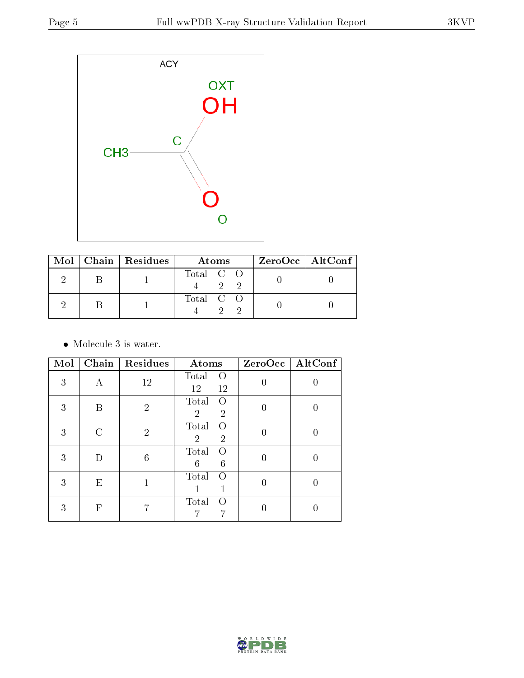

|  | Mol   Chain   Residues | Atoms     | $ZeroOcc \   \ AltConf \  $ |
|--|------------------------|-----------|-----------------------------|
|  |                        | Total C O |                             |
|  |                        | Total C O |                             |

• Molecule 3 is water.

| Mol | Chain         | Residues       | Atoms                                                         |          | $ZeroOcc$   AltConf |
|-----|---------------|----------------|---------------------------------------------------------------|----------|---------------------|
| 3   | А             | 12             | Total<br>$\left( \right)$<br>12<br>12                         |          |                     |
| 3   | В             | $\overline{2}$ | Total<br>$\Omega$<br>$\overline{2}$<br>$\overline{2}$         | $\Omega$ |                     |
| 3   | $\mathcal{C}$ | $\overline{2}$ | Total<br>$\left( \right)$<br>$\overline{2}$<br>$\overline{2}$ | 0        |                     |
| 3   | D             | 6              | Total<br>$\Omega$<br>6<br>6                                   |          |                     |
| 3   | Ε             |                | Total<br>Ω                                                    | 0        |                     |
| 3   | F             |                | Total<br>$\left( \right)$<br>7                                |          |                     |

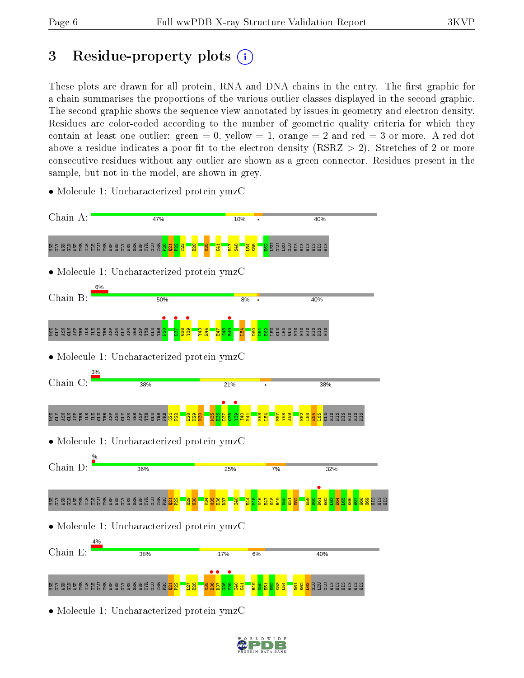# 3 Residue-property plots  $(i)$

These plots are drawn for all protein, RNA and DNA chains in the entry. The first graphic for a chain summarises the proportions of the various outlier classes displayed in the second graphic. The second graphic shows the sequence view annotated by issues in geometry and electron density. Residues are color-coded according to the number of geometric quality criteria for which they contain at least one outlier: green  $= 0$ , yellow  $= 1$ , orange  $= 2$  and red  $= 3$  or more. A red dot above a residue indicates a poor fit to the electron density (RSRZ  $> 2$ ). Stretches of 2 or more consecutive residues without any outlier are shown as a green connector. Residues present in the sample, but not in the model, are shown in grey.



• Molecule 1: Uncharacterized protein ymzC

• Molecule 1: Uncharacterized protein ymzC

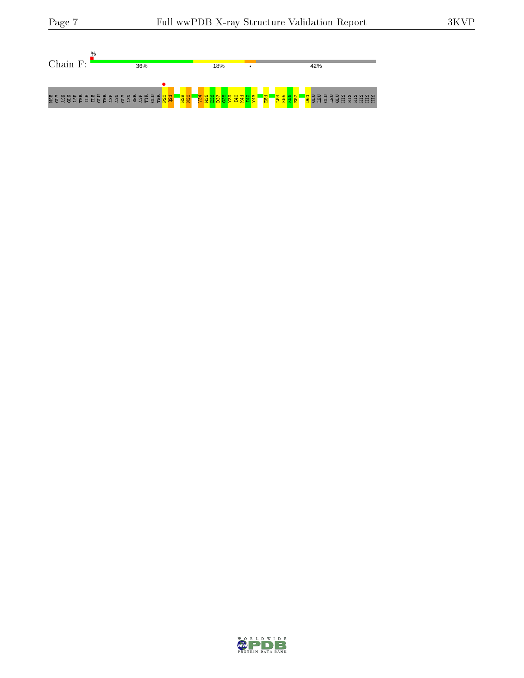

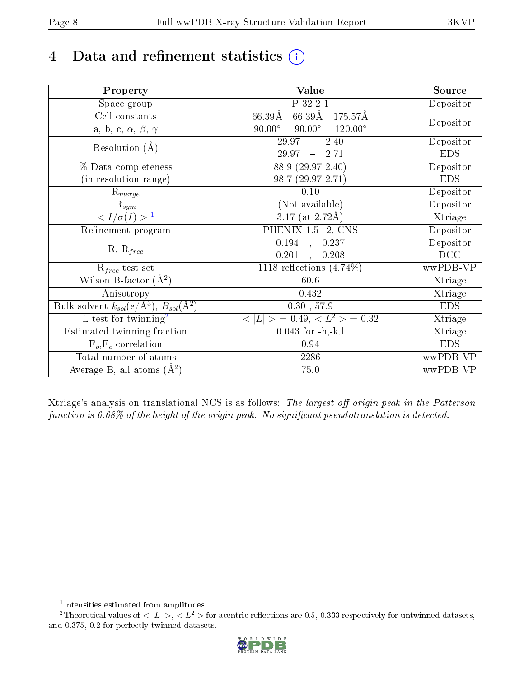# 4 Data and refinement statistics  $(i)$

| Property                                                             | Value                                              | Source     |
|----------------------------------------------------------------------|----------------------------------------------------|------------|
| $\overline{\text{Space}}$ group                                      | P 32 2 1                                           | Depositor  |
| Cell constants                                                       | $66.39\text{\AA}$<br>66.39Å<br>175.57Å             |            |
| a, b, c, $\alpha$ , $\beta$ , $\gamma$                               | $90.00^\circ$<br>$90.00^\circ$<br>$120.00^{\circ}$ | Depositor  |
| Resolution $(A)$                                                     | 29.97<br>$-2.40$                                   | Depositor  |
|                                                                      | 29.97<br>$-2.71$                                   | <b>EDS</b> |
| % Data completeness                                                  | $88.9(29.97-2.40)$                                 | Depositor  |
| (in resolution range)                                                | $98.7(29.97-2.71)$                                 | <b>EDS</b> |
| $R_{merge}$                                                          | 0.10                                               | Depositor  |
| $\mathrm{R}_{sym}$                                                   | (Not available)                                    | Depositor  |
| $\langle I/\sigma(I) \rangle$ <sup>1</sup>                           | $\overline{3.17}$ (at 2.72Å)                       | Xtriage    |
| Refinement program                                                   | PHENIX $1.5-2$ , CNS                               | Depositor  |
|                                                                      | $\overline{0.194}$ , 0.237                         | Depositor  |
| $R, R_{free}$                                                        | 0.201<br>0.208<br>$\overline{\phantom{a}}$         | DCC        |
| $R_{free}$ test set                                                  | 1118 reflections $(4.74\%)$                        | wwPDB-VP   |
| Wilson B-factor $(A^2)$                                              | 60.6                                               | Xtriage    |
| Anisotropy                                                           | 0.432                                              | Xtriage    |
| Bulk solvent $k_{sol}(e/\mathring{A}^3)$ , $B_{sol}(\mathring{A}^2)$ | $0.30$ , $57.9$                                    | <b>EDS</b> |
| L-test for twinning <sup>2</sup>                                     | $< L >$ = 0.49, $< L2$ = 0.32                      | Xtriage    |
| Estimated twinning fraction                                          | $0.043$ for $-h,-k,l$                              | Xtriage    |
| $F_o, F_c$ correlation                                               | 0.94                                               | <b>EDS</b> |
| Total number of atoms                                                | 2286                                               | wwPDB-VP   |
| Average B, all atoms $(A^2)$                                         | 75.0                                               | wwPDB-VP   |

Xtriage's analysis on translational NCS is as follows: The largest off-origin peak in the Patterson function is  $6.68\%$  of the height of the origin peak. No significant pseudotranslation is detected.

<sup>&</sup>lt;sup>2</sup>Theoretical values of  $\langle |L| \rangle$ ,  $\langle L^2 \rangle$  for acentric reflections are 0.5, 0.333 respectively for untwinned datasets, and 0.375, 0.2 for perfectly twinned datasets.



<span id="page-7-1"></span><span id="page-7-0"></span><sup>1</sup> Intensities estimated from amplitudes.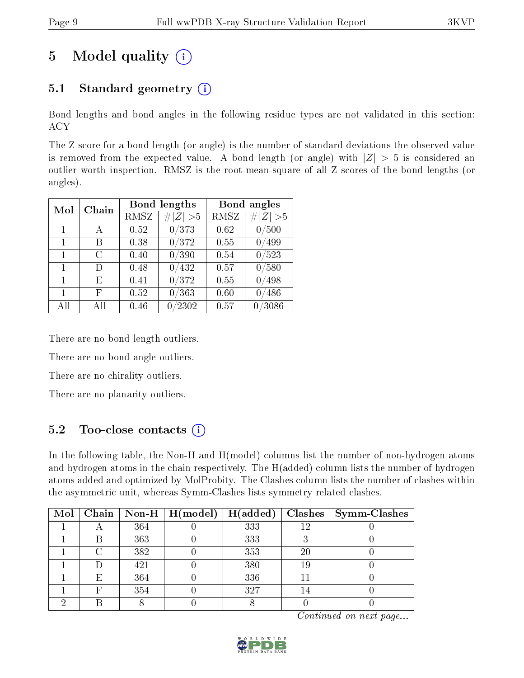# 5 Model quality  $(i)$

## 5.1 Standard geometry  $(i)$

Bond lengths and bond angles in the following residue types are not validated in this section: ACY

The Z score for a bond length (or angle) is the number of standard deviations the observed value is removed from the expected value. A bond length (or angle) with  $|Z| > 5$  is considered an outlier worth inspection. RMSZ is the root-mean-square of all Z scores of the bond lengths (or angles).

| Mol          | Chain |      | <b>Bond lengths</b> | Bond angles |         |  |
|--------------|-------|------|---------------------|-------------|---------|--|
|              |       | RMSZ | # $ Z  > 5$         | RMSZ        | Z   > 5 |  |
| 1            | А     | 0.52 | 0/373               | 0.62        | 0/500   |  |
| $\mathbf{1}$ | В     | 0.38 | 0/372               | 0.55        | /499    |  |
| 1            | C     | 0.40 | 0/390               | 0.54        | 0/523   |  |
| 1            | D)    | 0.48 | 0/432               | 0.57        | 0/580   |  |
| 1            | E     | 0.41 | 0/372               | 0.55        | 0/498   |  |
| 1            | F     | 0.52 | 0/363               | 0.60        | 0/486   |  |
| All          |       | 0.46 | /2302               | 0.57        | /3086   |  |

There are no bond length outliers.

There are no bond angle outliers.

There are no chirality outliers.

There are no planarity outliers.

### 5.2 Too-close contacts  $\overline{()}$

In the following table, the Non-H and H(model) columns list the number of non-hydrogen atoms and hydrogen atoms in the chain respectively. The H(added) column lists the number of hydrogen atoms added and optimized by MolProbity. The Clashes column lists the number of clashes within the asymmetric unit, whereas Symm-Clashes lists symmetry related clashes.

| Mol |   |     | $\boxed{\text{Chain} \mid \text{Non-H} \mid \text{H}(\text{model}) \mid \text{H}(\text{added})}$ |     |    | $Clashes$   Symm-Clashes |
|-----|---|-----|--------------------------------------------------------------------------------------------------|-----|----|--------------------------|
|     |   | 364 |                                                                                                  | 333 | 19 |                          |
|     |   | 363 |                                                                                                  | 333 |    |                          |
|     |   | 382 |                                                                                                  | 353 | 20 |                          |
|     |   | 421 |                                                                                                  | 380 | 19 |                          |
|     | Е | 364 |                                                                                                  | 336 |    |                          |
|     |   | 354 |                                                                                                  | 327 |    |                          |
|     |   |     |                                                                                                  |     |    |                          |

Continued on next page...

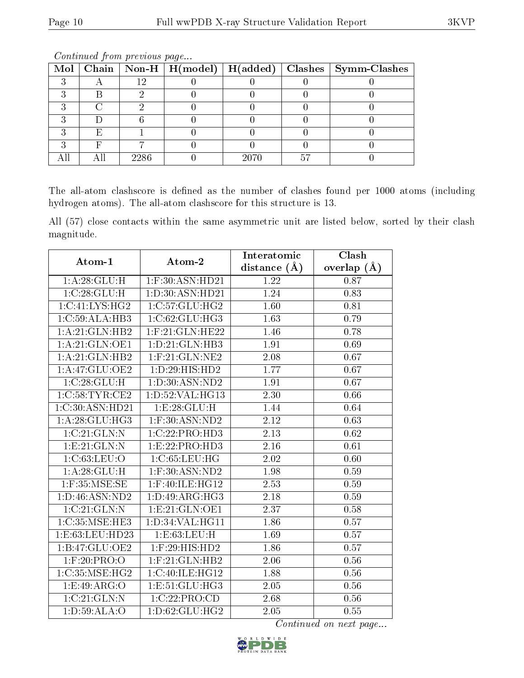|  |      |      |     | Mol   Chain   Non-H   H(model)   H(added)   Clashes   Symm-Clashes |
|--|------|------|-----|--------------------------------------------------------------------|
|  |      |      |     |                                                                    |
|  |      |      |     |                                                                    |
|  |      |      |     |                                                                    |
|  |      |      |     |                                                                    |
|  |      |      |     |                                                                    |
|  |      |      |     |                                                                    |
|  | 2286 | 2070 | -50 |                                                                    |

Continued from previous page...

The all-atom clashscore is defined as the number of clashes found per 1000 atoms (including hydrogen atoms). The all-atom clashscore for this structure is 13.

All (57) close contacts within the same asymmetric unit are listed below, sorted by their clash magnitude.

| Atom-1                             | Atom-2                        | Interatomic      | Clash             |
|------------------------------------|-------------------------------|------------------|-------------------|
|                                    |                               | distance $(\AA)$ | overlap $(A)$     |
| 1:A:28:GLU:H                       | $1:$ F:30:ASN:HD21            | 1.22             | 0.87              |
| 1:C:28:GLU:H                       | 1:D:30:ASN:HD21               | 1.24             | 0.83              |
| 1:C:41:LYS:HG2                     | 1:C:57:GLU:HG2                | 1.60             | 0.81              |
| 1:C:59:ALA:HB3                     | 1: C:62: GLU: HG3             | 1.63             | 0.79              |
| 1:A:21:GLN:HB2                     | $1:$ F:21:GLN:HE22            | 1.46             | 0.78              |
| 1: A:21: GLN:OE1                   | 1: D: 21: GLN: HB3            | <b>1.91</b>      | 0.69              |
| 1:A:21:GLN:HB2                     | $1:$ F:21:GLN:NE2             | 2.08             | 0.67              |
| 1: A:47: GLU:OE2                   | 1:D:29:HIS:HD2                | 1.77             | 0.67              |
| 1:C:28:GLU:H                       | 1: D:30: ASN:ND2              | 1.91             | 0.67              |
| 1:C:58:TYR:CE2                     | 1:D:52:VAL:HG13               | 2.30             | 0.66              |
| 1:C:30:ASN:HD21                    | 1:E:28:GLU:H                  | 1.44             | 0.64              |
| 1: A:28: GLU:HG3                   | $1:$ F:30:ASN:ND2             | 2.12             | 0.63              |
| 1:C:21:GLN:N                       | 1:C:22:PRO:HD3                | 2.13             | 0.62              |
| 1:E:21:GLN:N                       | 1:E:22:PRO:HD3                | 2.16             | 0.61              |
| 1:C:63:LEU:O                       | 1:C:65:LEU:HG                 | 2.02             | 0.60              |
| 1: A:28: GLU: H                    | $1:$ F:30:ASN:ND2             | 1.98             | 0.59              |
| $1:$ F:35:MSE:SE                   | 1:F:40:ILE:HG12               | 2.53             | 0.59              |
| 1:D:46:ASN:ND2                     | 1: D:49: ARG: HG3             | 2.18             | 0.59              |
| 1:C:21:GLN:N                       | 1:E:21:GLN:OE1                | 2.37             | 0.58              |
| 1: C:35:MSE:HE3                    | 1: D: 34: VAL: HG11           | 1.86             | 0.57              |
| 1:E:63:LEU:HD23                    | 1:E:63:LEU:H                  | 1.69             | 0.57              |
| 1:B:47:GLU:OE2                     | 1:F:29:HIS:HD2                | 1.86             | 0.57              |
| $1:$ F:20:PRO:O                    | $1:$ F:21:GLN:HB2             | 2.06             | 0.56              |
| 1:C:35:MSE:HG2                     | 1:C:40:ILE:HG12               | 1.88             | 0.56              |
| 1:E:49:ARG:O                       | 1:E:51:GLU:HG3                | 2.05             | 0.56              |
| 1:C:21:GLN:N                       | 1:C:22:PRO:CD                 | 2.68             | $\overline{0}.56$ |
| $1: D:59: \overline{\text{ALA}:O}$ | $1: D:62: \overline{GLU:HG2}$ | 2.05             | 0.55              |

Continued on next page...

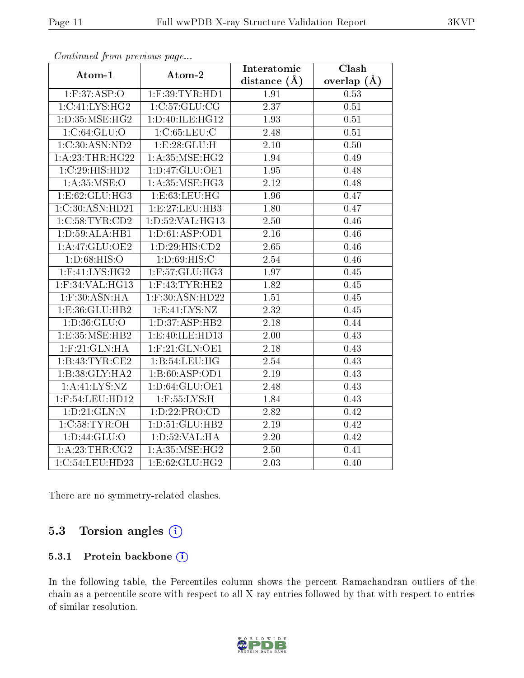| . . <i>. .</i>          | $\cdots$ $\cdots$    | Interatomic       | Clash         |
|-------------------------|----------------------|-------------------|---------------|
| Atom-1                  | Atom-2               | distance $(\AA)$  | overlap $(A)$ |
| $1:$ F:37:ASP:O         | $1:$ F:39:TYR:HD $1$ | 1.91              | 0.53          |
| 1:C:41:LYS:HG2          | 1:C:57:GLU:CG        | $\overline{2.37}$ | 0.51          |
| 1:D:35:MSE:HG2          | 1: D: 40: ILE: HG12  | 1.93              | 0.51          |
| 1:C:64:GLU:O            | 1:C:65:LEU:C         | 2.48              | 0.51          |
| 1:C:30:ASN:ND2          | 1:E:28:GLU:H         | 2.10              | 0.50          |
| 1: A:23:THR:HG22        | 1: A:35:MSE:HG2      | 1.94              | 0.49          |
| 1:C:29:HIS:HD2          | 1: D: 47: GLU: OE1   | $\overline{1.95}$ | 0.48          |
| 1: A:35: MSE:O          | 1: A:35: MSE:HG3     | 2.12              | 0.48          |
| 1: E:62: GLU: HG3       | 1:E:63:LEU:HG        | 1.96              | 0.47          |
| 1:C:30:ASN:HD21         | 1:E:27:EU:HB3        | 1.80              | 0.47          |
| 1:C:58:TYR:CD2          | 1:D:52:VAL:HG13      | 2.50              | 0.46          |
| 1: D: 59: ALA: HB1      | 1: D:61: ASP:OD1     | 2.16              | 0.46          |
| 1:A:47:GLU:OE2          | 1: D: 29: HIS: CD2   | 2.65              | 0.46          |
| 1: D:68: HIS:O          | 1: D:69: HIS:C       | 2.54              | 0.46          |
| $1:$ F:41:LYS:HG2       | 1:F:57:GLU:HG3       | 1.97              | 0.45          |
| 1:F:34:VAL:HG13         | $1:$ F:43:TYR:HE2    | 1.82              | 0.45          |
| $1:$ F:30:ASN:HA        | $1:$ F:30:ASN:HD22   | 1.51              | 0.45          |
| 1:E:36:GLU:HB2          | 1: E: 41: LYS: NZ    | $\overline{2.32}$ | 0.45          |
| 1: D: 36: GLU: O        | 1: D: 37: ASP: HB2   | 2.18              | 0.44          |
| 1:E:35:MSE:HB2          | 1:E:40:ILE:HD13      | 2.00              | 0.43          |
| $1:$ F: $21:$ GLN: $HA$ | $1:$ F:21:GLN:OE1    | 2.18              | 0.43          |
| 1:B:43:TYR:CE2          | 1:B:54:LEU:HG        | 2.54              | 0.43          |
| 1:B:38:GLY:HA2          | 1:B:60:ASP:OD1       | 2.19              | 0.43          |
| 1: A: 41: LYS: NZ       | 1:D:64:GLU:OE1       | 2.48              | 0.43          |
| 1:F:54:LEU:HD12         | $1:$ F:55:LYS:H      | 1.84              | 0.43          |
| 1: D:21: GLN:N          | 1:D:22:PRO:CD        | 2.82              | 0.42          |
| 1:C:58:TYR:OH           | 1: D: 51: GLU: HB2   | 2.19              | 0.42          |
| 1: D: 44: GLU: O        | 1: D:52: VAL:HA      | 2.20              | 0.42          |
| 1:A:23:THR:CG2          | 1: A:35:MSE:HG2      | 2.50              | 0.41          |
| 1:C:54:LEU:HD23         | 1:E:62:GLU:HG2       | 2.03              | 0.40          |

Continued from previous page...

There are no symmetry-related clashes.

## 5.3 Torsion angles  $(i)$

#### 5.3.1 Protein backbone (i)

In the following table, the Percentiles column shows the percent Ramachandran outliers of the chain as a percentile score with respect to all X-ray entries followed by that with respect to entries of similar resolution.

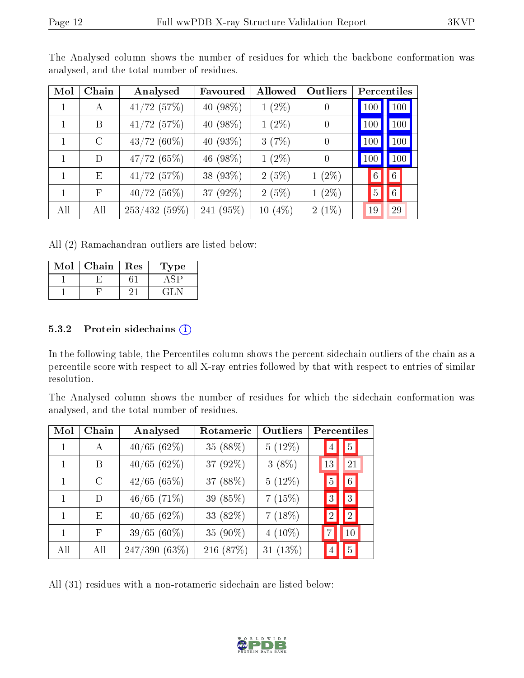| Mol | ${\rm Chain}$ | Analysed        | Favoured    | Allowed   | Outliers       |                 | Percentiles    |
|-----|---------------|-----------------|-------------|-----------|----------------|-----------------|----------------|
| 1   | А             | $41/72$ (57%)   | 40 (98%)    | $1(2\%)$  | 0              | 100             | 100            |
| 1   | B             | $41/72$ (57%)   | 40 $(98\%)$ | $1(2\%)$  | $\overline{0}$ | 100             | 100            |
|     | $\rm C$       | $43/72(60\%)$   | 40 $(93\%)$ | 3(7%)     | $\theta$       | 100             | 100            |
| 1   | D             | 47/72(65%)      | 46 (98%)    | $1(2\%)$  | $\overline{0}$ | 100             | 100            |
| 1   | E             | $41/72$ (57%)   | 38 (93%)    | 2(5%)     | $1(2\%)$       | $6\phantom{.}6$ | $6\phantom{.}$ |
| 1   | $\mathbf{F}$  | 40/72(56%)      | 37 (92%)    | 2(5%)     | $1(2\%)$       | $\overline{5}$  | $6\,$          |
| All | All           | $253/432(59\%)$ | 241 (95%)   | $10(4\%)$ | $2(1\%)$       | 19              | 29             |

The Analysed column shows the number of residues for which the backbone conformation was analysed, and the total number of residues.

All (2) Ramachandran outliers are listed below:

| Mol | Chain | Res | ype  |
|-----|-------|-----|------|
|     |       |     |      |
|     |       |     | - 21 |

#### 5.3.2 Protein sidechains (i)

In the following table, the Percentiles column shows the percent sidechain outliers of the chain as a percentile score with respect to all X-ray entries followed by that with respect to entries of similar resolution.

The Analysed column shows the number of residues for which the sidechain conformation was analysed, and the total number of residues.

| Mol | Chain         | Analysed      | Rotameric | Outliers  | Percentiles    |                  |  |
|-----|---------------|---------------|-----------|-----------|----------------|------------------|--|
|     | А             | 40/65(62%)    | 35 (88%)  | 5(12%)    | 4              | 5                |  |
|     | В             | 40/65(62%)    | 37 (92%)  | $3(8\%)$  | 13             | 21               |  |
| 1   | $\mathcal{C}$ | 42/65(65%)    | 37 (88%)  | 5(12%)    | 5              | $6\vert$         |  |
|     | D             | $46/65$ (71%) | 39 (85%)  | 7(15%)    | $ 3\rangle$    | 3                |  |
|     | E             | 40/65(62%)    | 33 (82%)  | 7(18%)    | $\overline{2}$ | $\left 2\right $ |  |
| 1   | F             | $39/65(60\%)$ | 35 (90%)  | $4(10\%)$ |                | 10               |  |
| All | All           | 247/390 (63%) | 216 (87%) | 31 (13%)  |                | 5 <sup>1</sup>   |  |

All (31) residues with a non-rotameric sidechain are listed below:

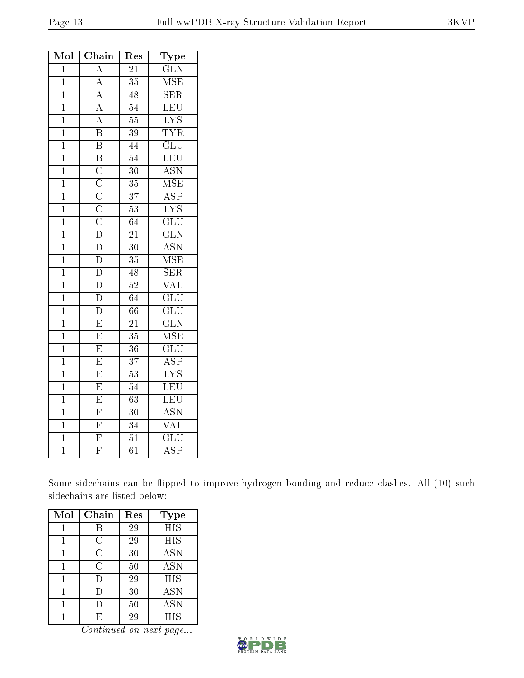| Mol            | Chain                                                                                                       | ${\mathop{\mathrm{Res}}\nolimits}$ | $_{\rm Type}$             |
|----------------|-------------------------------------------------------------------------------------------------------------|------------------------------------|---------------------------|
| $\overline{1}$ | $\overline{\rm A}$                                                                                          | 21                                 | $\overline{\text{GLN}}$   |
| $\mathbf{1}$   | $\overline{A}$                                                                                              | $\overline{35}$                    | MSE                       |
| $\mathbf{1}$   | $\overline{A}$                                                                                              | 48                                 | $\overline{\text{SER}}$   |
| $\mathbf{1}$   |                                                                                                             | $\overline{54}$                    | <b>LEU</b>                |
| $\overline{1}$ | $\frac{\overline{A}}{A}$                                                                                    | $\overline{55}$                    | $\overline{\text{LYS}}$   |
| $\overline{1}$ | $\overline{\mathbf{B}}$                                                                                     | $\overline{39}$                    | <b>TYR</b>                |
| $\mathbf{1}$   | $\overline{\mathbf{B}}$                                                                                     | $\overline{44}$                    | $\overline{{\rm GLU}}$    |
| $\overline{1}$ | $\overline{B}$                                                                                              | $\overline{54}$                    | LEU                       |
| $\overline{1}$ |                                                                                                             | $\overline{30}$                    | $\overline{\text{ASN}}$   |
| $\mathbf{1}$   |                                                                                                             | 35                                 | <b>MSE</b>                |
| $\overline{1}$ | $\frac{\overline{C}}{\overline{C}}$ $\frac{\overline{C}}{\overline{C}}$ $\frac{\overline{C}}{\overline{D}}$ | $\overline{37}$                    | $\overline{\text{ASP}}$   |
| $\mathbf{1}$   |                                                                                                             | $\overline{53}$                    | $\overline{\text{LYS}}$   |
| $\mathbf{1}$   |                                                                                                             | 64                                 | $\overline{\text{GLU}}$   |
| $\overline{1}$ |                                                                                                             | $\overline{21}$                    | $\overline{\text{GLN}}$   |
| $\mathbf{1}$   |                                                                                                             | 30                                 | $\overline{\mathrm{ASN}}$ |
| $\mathbf{1}$   | $\frac{\overline{D}}{D}$                                                                                    | 35                                 | $\overline{\rm MSE}$      |
| $\mathbf{1}$   | $\overline{\rm D}$                                                                                          | $\overline{48}$                    | $\overline{\text{SER}}$   |
| $\overline{1}$ | $\overline{\rm D}$                                                                                          | $\overline{52}$                    | $\overline{\text{VAL}}$   |
| $\overline{1}$ | $\overline{\rm D}$                                                                                          | $\overline{64}$                    | $\overline{\text{GLU}}$   |
| $\mathbf{1}$   | $\overline{\rm D}$                                                                                          | $\overline{66}$                    | $\overline{\text{GLU}}$   |
| $\mathbf{1}$   | $\overline{E}$                                                                                              | 21                                 | $\overline{\text{GLN}}$   |
| $\mathbf{1}$   | $\overline{\mathrm{E}}$                                                                                     | 35                                 | <b>MSE</b>                |
| $\overline{1}$ | $\overline{\mathrm{E}}$                                                                                     | $\overline{36}$                    | $\overline{{\rm GLU}}$    |
| $\mathbf{1}$   | $\overline{\mathrm{E}}$                                                                                     | 37                                 | <b>ASP</b>                |
| $\mathbf{1}$   | $\overline{\mathrm{E}}$                                                                                     | $\overline{53}$                    | $\overline{\text{LYS}}$   |
| $\overline{1}$ | $\overline{\mathrm{E}}$                                                                                     | $\overline{54}$                    | LEU                       |
| $\overline{1}$ | $\overline{E}$                                                                                              | 63                                 | LEU                       |
| $\overline{1}$ | $\overline{\mathrm{F}}$                                                                                     | $\overline{30}$                    | $\overline{\mathrm{ASN}}$ |
| $\mathbf{1}$   | $\overline{F}$                                                                                              | 34                                 | $\overline{\text{VAL}}$   |
| $\overline{1}$ | $\overline{\overline{\mathrm{F}}}$                                                                          | $\overline{51}$                    | $\overline{{\rm GLU}}$    |
| $\overline{1}$ | $\overline{\mathrm{F}}$                                                                                     | $\overline{61}$                    | $\overline{\text{ASP}}$   |

Some sidechains can be flipped to improve hydrogen bonding and reduce clashes. All (10) such sidechains are listed below:

| Mol | Chain | Res | <b>Type</b> |
|-----|-------|-----|-------------|
|     |       | 29  | <b>HIS</b>  |
|     | C     | 29  | HIS         |
|     | С     | 30  | <b>ASN</b>  |
| 1   | С     | 50  | <b>ASN</b>  |
|     | D     | 29  | <b>HIS</b>  |
|     | I)    | 30  | <b>ASN</b>  |
|     |       | 50  | <b>ASN</b>  |
|     | F,    | 29  | HIS         |

Continued on next page...

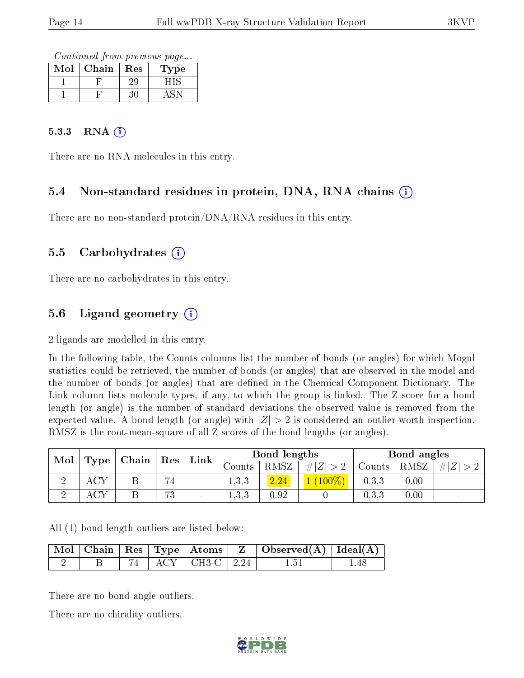Continued from previous page...

| $\operatorname{Mol}$ | Chain | Res | <b>Type</b> |
|----------------------|-------|-----|-------------|
|                      |       | 25  |             |
|                      |       |     |             |

#### 5.3.3 RNA (i)

There are no RNA molecules in this entry.

### 5.4 Non-standard residues in protein, DNA, RNA chains (i)

There are no non-standard protein/DNA/RNA residues in this entry.

#### 5.5 Carbohydrates  $(i)$

There are no carbohydrates in this entry.

### 5.6 Ligand geometry (i)

2 ligands are modelled in this entry.

In the following table, the Counts columns list the number of bonds (or angles) for which Mogul statistics could be retrieved, the number of bonds (or angles) that are observed in the model and the number of bonds (or angles) that are dened in the Chemical Component Dictionary. The Link column lists molecule types, if any, to which the group is linked. The Z score for a bond length (or angle) is the number of standard deviations the observed value is removed from the expected value. A bond length (or angle) with  $|Z| > 2$  is considered an outlier worth inspection. RMSZ is the root-mean-square of all Z scores of the bond lengths (or angles).

| Mol |                   |                  | Res                             |                 |         | Bond lengths |         |        | Bond angles |                |
|-----|-------------------|------------------|---------------------------------|-----------------|---------|--------------|---------|--------|-------------|----------------|
|     | Type <sub>1</sub> | $\pm$ Chain $^+$ |                                 | ${\rm Link}$    | Counts  | <b>RMSZ</b>  | # Z     | Counts | RMSZ        | # Z            |
|     |                   |                  | $\rightarrow$<br>$4\phantom{1}$ | $\qquad \qquad$ | 1,3,3   | 2.24         | $100\%$ | 0.3, 3 | 0.00        | $\blacksquare$ |
|     |                   |                  | 73                              | -               | 1, 3, 3 | 0.92         |         | 0.3, 3 | 0.00        | $\blacksquare$ |

All (1) bond length outliers are listed below:

|  |  |                           | $\vert$ Mol $\vert$ Chain $\vert$ Res $\vert$ Type $\vert$ Atoms $\vert$ Z $\vert$ Observed(A) $\vert$ Ideal(A) $\vert$ |  |
|--|--|---------------------------|-------------------------------------------------------------------------------------------------------------------------|--|
|  |  | $74$   ACY   CH3-C   2.24 | 1.51                                                                                                                    |  |

There are no bond angle outliers.

There are no chirality outliers.

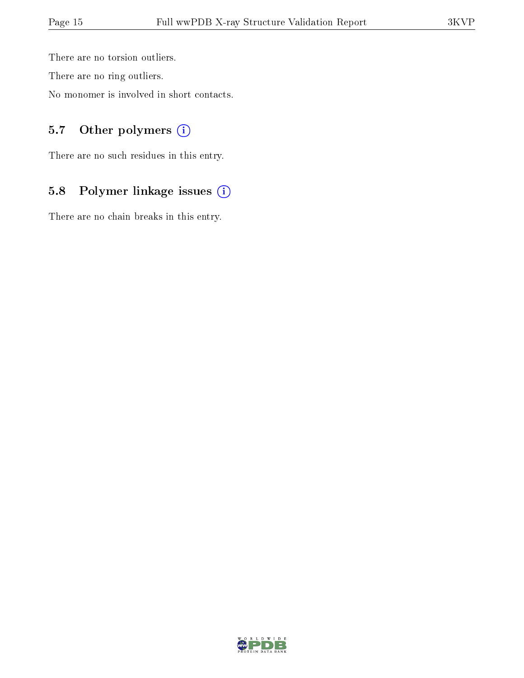There are no torsion outliers.

There are no ring outliers.

No monomer is involved in short contacts.

### 5.7 [O](https://www.wwpdb.org/validation/2017/XrayValidationReportHelp#nonstandard_residues_and_ligands)ther polymers (i)

There are no such residues in this entry.

# 5.8 Polymer linkage issues (i)

There are no chain breaks in this entry.

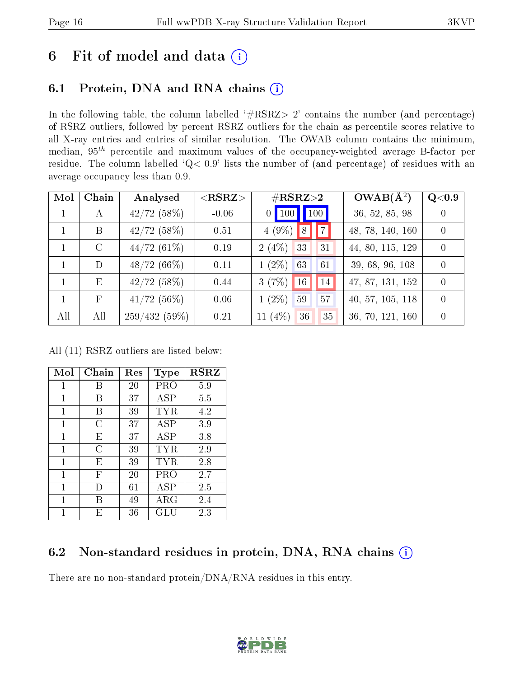# 6 Fit of model and data  $(i)$

## 6.1 Protein, DNA and RNA chains  $(i)$

In the following table, the column labelled  $#RSRZ> 2'$  contains the number (and percentage) of RSRZ outliers, followed by percent RSRZ outliers for the chain as percentile scores relative to all X-ray entries and entries of similar resolution. The OWAB column contains the minimum, median,  $95<sup>th</sup>$  percentile and maximum values of the occupancy-weighted average B-factor per residue. The column labelled ' $Q< 0.9$ ' lists the number of (and percentage) of residues with an average occupancy less than 0.9.

| Mol          | Chain        | Analysed      | $<$ RSRZ $>$ | $\#\text{RSRZ}\text{>2}$ | $OWAB(A^2)$      | $\rm Q\textcolor{black}{<}0.9$ |
|--------------|--------------|---------------|--------------|--------------------------|------------------|--------------------------------|
| $\mathbf{1}$ | $\mathbf{A}$ | $42/72$ (58%) | $-0.06$      | $0$ 100 100              | 36, 52, 85, 98   |                                |
|              | B            | $42/72$ (58%) | 0.51         | $4(9\%)$ 8 7             | 48, 78, 140, 160 | $\Omega$                       |
|              | $\rm C$      | 44/72(61%)    | 0.19         | 2(4%)<br>33<br>31        | 44, 80, 115, 129 |                                |
|              | D            | $48/72(66\%)$ | 0.11         | $1(2\%)$<br>63<br>61     | 39, 68, 96, 108  |                                |
| $\mathbf{1}$ | E            | 42/72(58%)    | 0.44         | 3(7%)<br>16<br>14        | 47, 87, 131, 152 | $\Omega$                       |
| $\mathbf{1}$ | $_{\rm F}$   | $41/72$ (56%) | 0.06         | $1(2\%)$<br>59<br>57     | 40, 57, 105, 118 | $\Omega$                       |
| All          | All          | 259/432(59%)  | 0.21         | 11 $(4%)$<br>36<br>35    | 36, 70, 121, 160 |                                |

All (11) RSRZ outliers are listed below:

| Mol         | Chain | $\operatorname{Res}% \left( \mathcal{N}\right) \equiv\operatorname{Res}(\mathcal{N}_{0},\mathcal{N}_{0})$ | <b>Type</b>  | $_{\rm RSRZ}$ |
|-------------|-------|-----------------------------------------------------------------------------------------------------------|--------------|---------------|
| 1           | В     | 20                                                                                                        | PRO          | 5.9           |
| 1           | В     | 37                                                                                                        | ASP          | 5.5           |
| 1           | B     | 39                                                                                                        | TYR          | 4.2           |
| 1           | C     | 37                                                                                                        | <b>ASP</b>   | 3.9           |
| 1           | E     | 37                                                                                                        | ASP          | 3.8           |
| $\mathbf 1$ | С     | 39                                                                                                        | TYR          | 2.9           |
| 1           | E     | 39                                                                                                        | $_{\rm TYR}$ | 2.8           |
| 1           | F     | 20                                                                                                        | PRO          | 2.7           |
| 1           | D     | 61                                                                                                        | ASP          | 2.5           |
| 1           | R     | 49                                                                                                        | ${\rm ARG}$  | 2.4           |
| 1           | F.    | 36                                                                                                        | GLU          | 2.3           |

### 6.2 Non-standard residues in protein, DNA, RNA chains (i)

There are no non-standard protein/DNA/RNA residues in this entry.